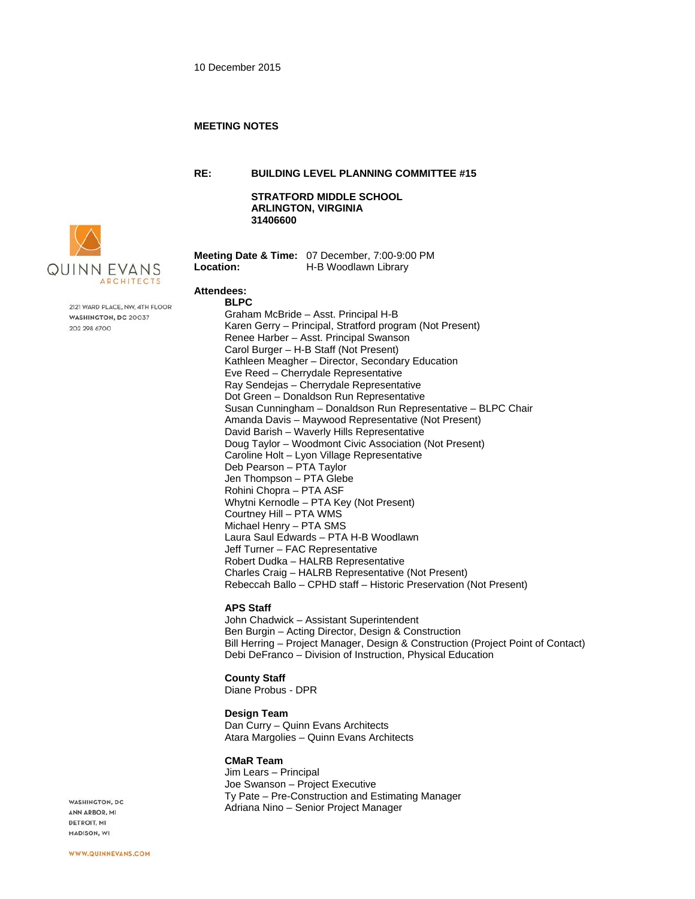#### **MEETING NOTES**

**RE: BUILDING LEVEL PLANNING COMMITTEE #15**

**STRATFORD MIDDLE SCHOOL ARLINGTON, VIRGINIA 31406600** 



2121 WARD PLACE, NW, 4TH FLOOR WASHINGTON, DC 20037 202 298 6700

**Meeting Date & Time:** 07 December, 7:00-9:00 PM **Location:** H-B Woodlawn Library

# **Attendees:**

**BLPC**  Graham McBride – Asst. Principal H-B Karen Gerry – Principal, Stratford program (Not Present) Renee Harber – Asst. Principal Swanson Carol Burger – H-B Staff (Not Present) Kathleen Meagher – Director, Secondary Education Eve Reed – Cherrydale Representative Ray Sendejas – Cherrydale Representative Dot Green – Donaldson Run Representative Susan Cunningham – Donaldson Run Representative – BLPC Chair Amanda Davis – Maywood Representative (Not Present) David Barish – Waverly Hills Representative Doug Taylor – Woodmont Civic Association (Not Present) Caroline Holt – Lyon Village Representative Deb Pearson – PTA Taylor Jen Thompson – PTA Glebe Rohini Chopra – PTA ASF Whytni Kernodle – PTA Key (Not Present) Courtney Hill – PTA WMS Michael Henry – PTA SMS Laura Saul Edwards – PTA H-B Woodlawn Jeff Turner – FAC Representative Robert Dudka – HALRB Representative Charles Craig – HALRB Representative (Not Present) Rebeccah Ballo – CPHD staff – Historic Preservation (Not Present)

# **APS Staff**

John Chadwick – Assistant Superintendent Ben Burgin – Acting Director, Design & Construction Bill Herring – Project Manager, Design & Construction (Project Point of Contact) Debi DeFranco – Division of Instruction, Physical Education

### **County Staff**

Diane Probus - DPR

#### **Design Team**

Dan Curry – Quinn Evans Architects Atara Margolies – Quinn Evans Architects

#### **CMaR Team**

Jim Lears – Principal Joe Swanson – Project Executive Ty Pate – Pre-Construction and Estimating Manager Adriana Nino – Senior Project Manager

WASHINGTON, DC ANN ARBOR, MI DETROIT, MI MADISON, WI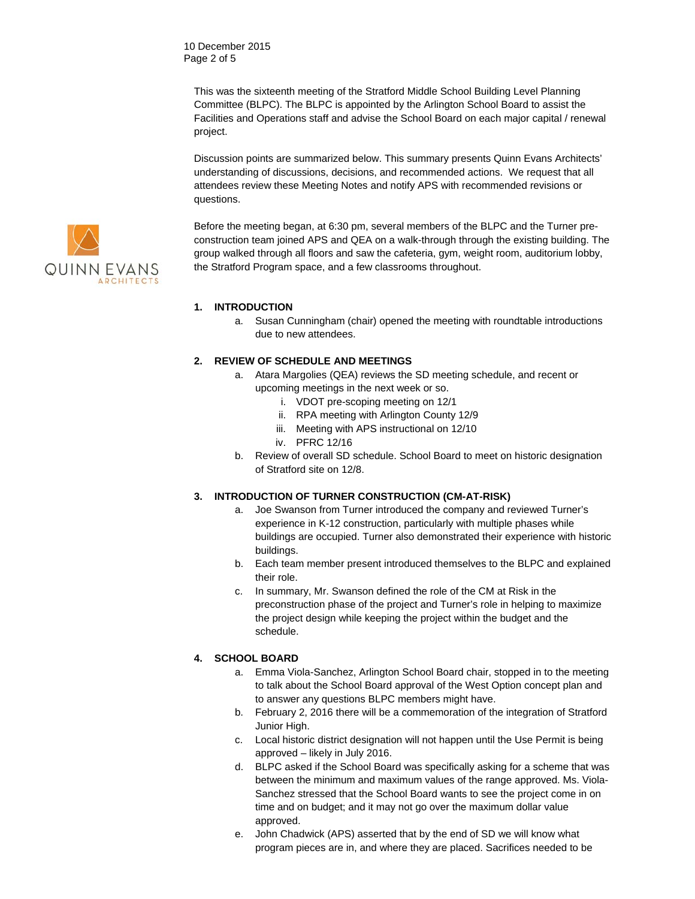10 December 2015 Page 2 of 5

> This was the sixteenth meeting of the Stratford Middle School Building Level Planning Committee (BLPC). The BLPC is appointed by the Arlington School Board to assist the Facilities and Operations staff and advise the School Board on each major capital / renewal project.

Discussion points are summarized below. This summary presents Quinn Evans Architects' understanding of discussions, decisions, and recommended actions. We request that all attendees review these Meeting Notes and notify APS with recommended revisions or questions.

Before the meeting began, at 6:30 pm, several members of the BLPC and the Turner preconstruction team joined APS and QEA on a walk-through through the existing building. The group walked through all floors and saw the cafeteria, gym, weight room, auditorium lobby, the Stratford Program space, and a few classrooms throughout.

### **1. INTRODUCTION**

a. Susan Cunningham (chair) opened the meeting with roundtable introductions due to new attendees.

# **2. REVIEW OF SCHEDULE AND MEETINGS**

- a. Atara Margolies (QEA) reviews the SD meeting schedule, and recent or upcoming meetings in the next week or so.
	- i. VDOT pre-scoping meeting on 12/1
	- ii. RPA meeting with Arlington County 12/9
	- iii. Meeting with APS instructional on 12/10
	- iv. PFRC 12/16
- b. Review of overall SD schedule. School Board to meet on historic designation of Stratford site on 12/8.

#### **3. INTRODUCTION OF TURNER CONSTRUCTION (CM-AT-RISK)**

- a. Joe Swanson from Turner introduced the company and reviewed Turner's experience in K-12 construction, particularly with multiple phases while buildings are occupied. Turner also demonstrated their experience with historic buildings.
- b. Each team member present introduced themselves to the BLPC and explained their role.
- c. In summary, Mr. Swanson defined the role of the CM at Risk in the preconstruction phase of the project and Turner's role in helping to maximize the project design while keeping the project within the budget and the schedule.

#### **4. SCHOOL BOARD**

- a. Emma Viola-Sanchez, Arlington School Board chair, stopped in to the meeting to talk about the School Board approval of the West Option concept plan and to answer any questions BLPC members might have.
- b. February 2, 2016 there will be a commemoration of the integration of Stratford Junior High.
- c. Local historic district designation will not happen until the Use Permit is being approved – likely in July 2016.
- d. BLPC asked if the School Board was specifically asking for a scheme that was between the minimum and maximum values of the range approved. Ms. Viola-Sanchez stressed that the School Board wants to see the project come in on time and on budget; and it may not go over the maximum dollar value approved.
- e. John Chadwick (APS) asserted that by the end of SD we will know what program pieces are in, and where they are placed. Sacrifices needed to be

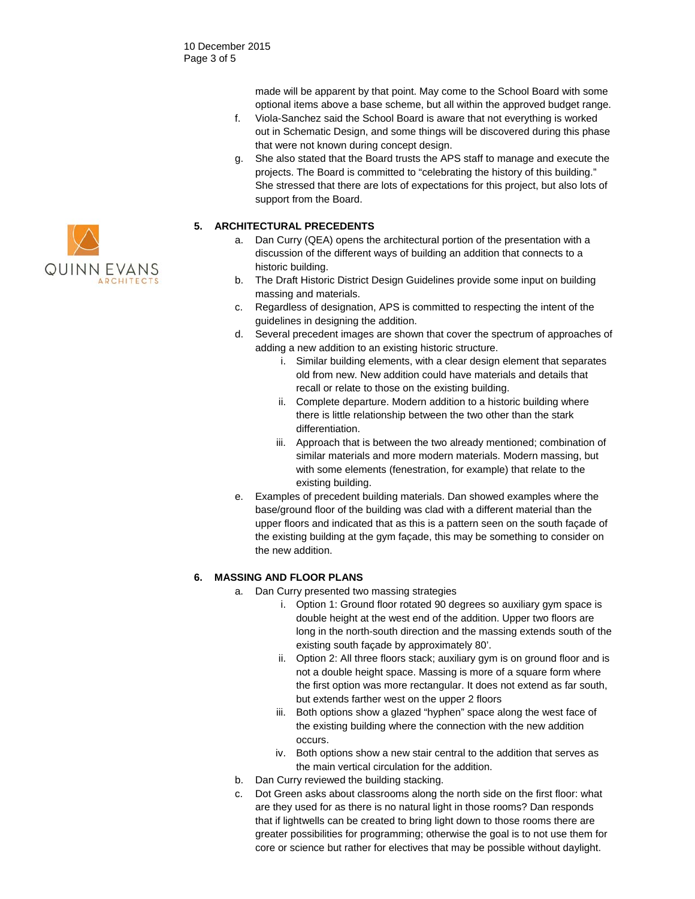made will be apparent by that point. May come to the School Board with some optional items above a base scheme, but all within the approved budget range.

- f. Viola-Sanchez said the School Board is aware that not everything is worked out in Schematic Design, and some things will be discovered during this phase that were not known during concept design.
- g. She also stated that the Board trusts the APS staff to manage and execute the projects. The Board is committed to "celebrating the history of this building." She stressed that there are lots of expectations for this project, but also lots of support from the Board.

### **5. ARCHITECTURAL PRECEDENTS**

- a. Dan Curry (QEA) opens the architectural portion of the presentation with a discussion of the different ways of building an addition that connects to a historic building.
- b. The Draft Historic District Design Guidelines provide some input on building massing and materials.
- c. Regardless of designation, APS is committed to respecting the intent of the guidelines in designing the addition.
- d. Several precedent images are shown that cover the spectrum of approaches of adding a new addition to an existing historic structure.
	- i. Similar building elements, with a clear design element that separates old from new. New addition could have materials and details that recall or relate to those on the existing building.
	- ii. Complete departure. Modern addition to a historic building where there is little relationship between the two other than the stark differentiation.
	- iii. Approach that is between the two already mentioned; combination of similar materials and more modern materials. Modern massing, but with some elements (fenestration, for example) that relate to the existing building.
- e. Examples of precedent building materials. Dan showed examples where the base/ground floor of the building was clad with a different material than the upper floors and indicated that as this is a pattern seen on the south façade of the existing building at the gym façade, this may be something to consider on the new addition.

### **6. MASSING AND FLOOR PLANS**

- a. Dan Curry presented two massing strategies
	- i. Option 1: Ground floor rotated 90 degrees so auxiliary gym space is double height at the west end of the addition. Upper two floors are long in the north-south direction and the massing extends south of the existing south façade by approximately 80'.
	- ii. Option 2: All three floors stack; auxiliary gym is on ground floor and is not a double height space. Massing is more of a square form where the first option was more rectangular. It does not extend as far south, but extends farther west on the upper 2 floors
	- iii. Both options show a glazed "hyphen" space along the west face of the existing building where the connection with the new addition occurs.
	- iv. Both options show a new stair central to the addition that serves as the main vertical circulation for the addition.
- b. Dan Curry reviewed the building stacking.
- c. Dot Green asks about classrooms along the north side on the first floor: what are they used for as there is no natural light in those rooms? Dan responds that if lightwells can be created to bring light down to those rooms there are greater possibilities for programming; otherwise the goal is to not use them for core or science but rather for electives that may be possible without daylight.

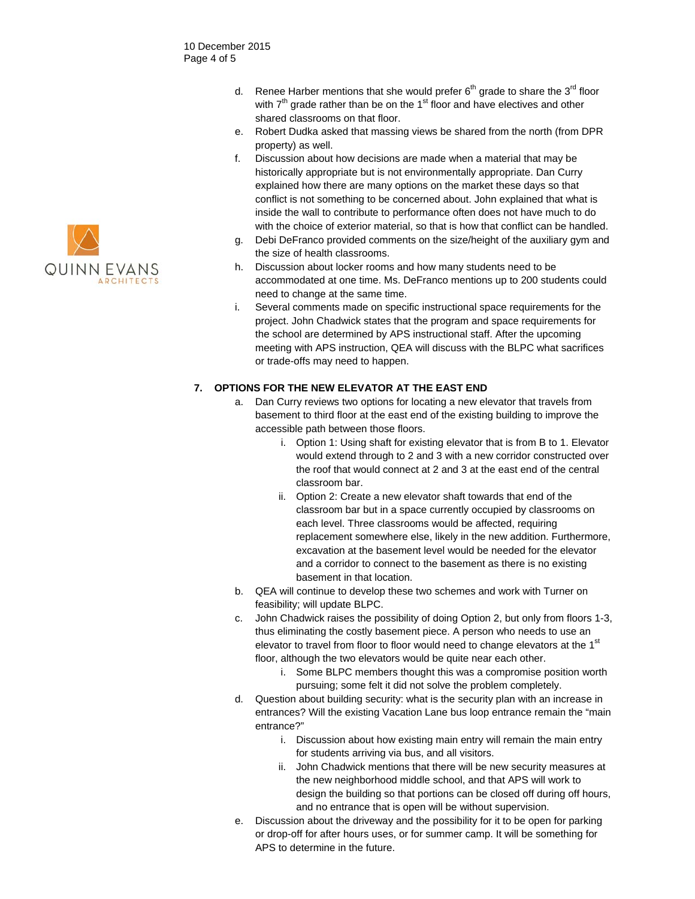- d. Renee Harber mentions that she would prefer  $6<sup>th</sup>$  grade to share the 3<sup>rd</sup> floor with  $7<sup>th</sup>$  grade rather than be on the 1<sup>st</sup> floor and have electives and other shared classrooms on that floor.
- e. Robert Dudka asked that massing views be shared from the north (from DPR property) as well.
- f. Discussion about how decisions are made when a material that may be historically appropriate but is not environmentally appropriate. Dan Curry explained how there are many options on the market these days so that conflict is not something to be concerned about. John explained that what is inside the wall to contribute to performance often does not have much to do with the choice of exterior material, so that is how that conflict can be handled.
- g. Debi DeFranco provided comments on the size/height of the auxiliary gym and the size of health classrooms.
- h. Discussion about locker rooms and how many students need to be accommodated at one time. Ms. DeFranco mentions up to 200 students could need to change at the same time.
- i. Several comments made on specific instructional space requirements for the project. John Chadwick states that the program and space requirements for the school are determined by APS instructional staff. After the upcoming meeting with APS instruction, QEA will discuss with the BLPC what sacrifices or trade-offs may need to happen.

# **7. OPTIONS FOR THE NEW ELEVATOR AT THE EAST END**

- a. Dan Curry reviews two options for locating a new elevator that travels from basement to third floor at the east end of the existing building to improve the accessible path between those floors.
	- i. Option 1: Using shaft for existing elevator that is from B to 1. Elevator would extend through to 2 and 3 with a new corridor constructed over the roof that would connect at 2 and 3 at the east end of the central classroom bar.
	- ii. Option 2: Create a new elevator shaft towards that end of the classroom bar but in a space currently occupied by classrooms on each level. Three classrooms would be affected, requiring replacement somewhere else, likely in the new addition. Furthermore, excavation at the basement level would be needed for the elevator and a corridor to connect to the basement as there is no existing basement in that location.
- b. QEA will continue to develop these two schemes and work with Turner on feasibility; will update BLPC.
- c. John Chadwick raises the possibility of doing Option 2, but only from floors 1-3, thus eliminating the costly basement piece. A person who needs to use an elevator to travel from floor to floor would need to change elevators at the 1<sup>st</sup> floor, although the two elevators would be quite near each other.
	- i. Some BLPC members thought this was a compromise position worth pursuing; some felt it did not solve the problem completely.
- d. Question about building security: what is the security plan with an increase in entrances? Will the existing Vacation Lane bus loop entrance remain the "main entrance?"
	- i. Discussion about how existing main entry will remain the main entry for students arriving via bus, and all visitors.
	- ii. John Chadwick mentions that there will be new security measures at the new neighborhood middle school, and that APS will work to design the building so that portions can be closed off during off hours, and no entrance that is open will be without supervision.
- e. Discussion about the driveway and the possibility for it to be open for parking or drop-off for after hours uses, or for summer camp. It will be something for APS to determine in the future.